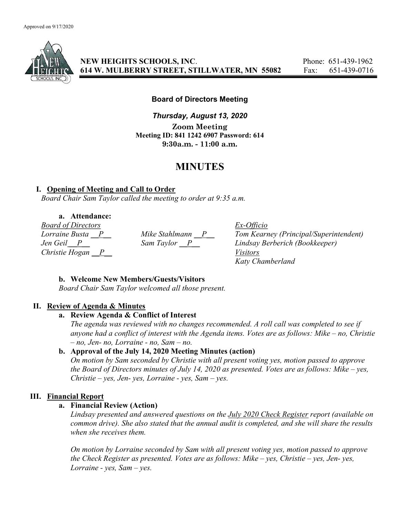

NEW HEIGHTS SCHOOLS, INC. Phone: 651-439-1962 614 W. MULBERRY STREET, STILLWATER, MN 55082 Fax: 651-439-0716

### Board of Directors Meeting

Thursday, August 13, 2020 Zoom Meeting Meeting ID: 841 1242 6907 Password: 614 9:30a.m. - 11:00 a.m.

# MINUTES

### I. Opening of Meeting and Call to Order

Board Chair Sam Taylor called the meeting to order at 9:35 a.m.

# a. Attendance:

Board of Directors Ex-Officio Christie Hogan  $\overline{P}$  Visitors

Lorraine Busta  $\frac{P}{P}$  Mike Stahlmann  $\frac{P}{P}$  Tom Kearney (Principal/Superintendent)<br>Jen Geil  $\frac{P}{P}$  Sam Taylor  $\frac{P}{P}$  Lindsay Berberich (Bookkeeper) Jen Geil P Sam Taylor P Lindsay Berberich (Bookkeeper) Katy Chamberland

# b. Welcome New Members/Guests/Visitors

Board Chair Sam Taylor welcomed all those present.

### II. Review of Agenda & Minutes

#### a. Review Agenda & Conflict of Interest

The agenda was reviewed with no changes recommended. A roll call was completed to see if anyone had a conflict of interest with the Agenda items. Votes are as follows: Mike – no, Christie  $- no$ , Jen- no, Lorraine - no, Sam  $- no$ .

#### b. Approval of the July 14, 2020 Meeting Minutes (action)

On motion by Sam seconded by Christie with all present voting yes, motion passed to approve the Board of Directors minutes of July 14, 2020 as presented. Votes are as follows: Mike – yes, Christie – yes, Jen- yes, Lorraine - yes, Sam – yes.

# III. Financial Report

### a. Financial Review (Action)

Lindsay presented and answered questions on the July 2020 Check Register report (available on common drive). She also stated that the annual audit is completed, and she will share the results when she receives them.

On motion by Lorraine seconded by Sam with all present voting yes, motion passed to approve the Check Register as presented. Votes are as follows: Mike – yes, Christie – yes, Jen- yes, Lorraine - yes,  $Sam - yes$ .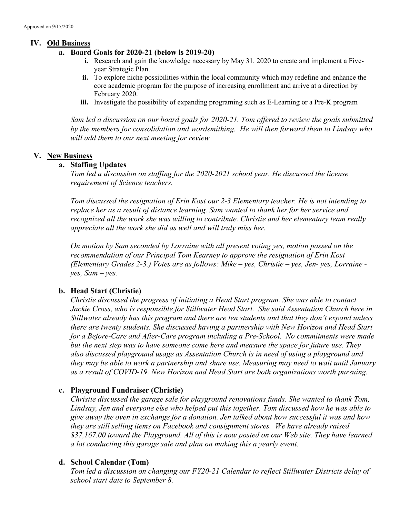# IV. Old Business

# a. Board Goals for 2020-21 (below is 2019-20)

- i. Research and gain the knowledge necessary by May 31. 2020 to create and implement a Fiveyear Strategic Plan.
- ii. To explore niche possibilities within the local community which may redefine and enhance the core academic program for the purpose of increasing enrollment and arrive at a direction by February 2020.
- iii. Investigate the possibility of expanding programing such as E-Learning or a Pre-K program

Sam led a discussion on our board goals for 2020-21. Tom offered to review the goals submitted by the members for consolidation and wordsmithing. He will then forward them to Lindsay who will add them to our next meeting for review

# V. New Business

# a. Staffing Updates

Tom led a discussion on staffing for the 2020-2021 school year. He discussed the license requirement of Science teachers.

Tom discussed the resignation of Erin Kost our 2-3 Elementary teacher. He is not intending to replace her as a result of distance learning. Sam wanted to thank her for her service and recognized all the work she was willing to contribute. Christie and her elementary team really appreciate all the work she did as well and will truly miss her.

On motion by Sam seconded by Lorraine with all present voting yes, motion passed on the recommendation of our Principal Tom Kearney to approve the resignation of Erin Kost (Elementary Grades 2-3.) Votes are as follows: Mike – yes, Christie – yes, Jen- yes, Lorraine  $yes, Sam-yes.$ 

# b. Head Start (Christie)

Christie discussed the progress of initiating a Head Start program. She was able to contact Jackie Cross, who is responsible for Stillwater Head Start. She said Assentation Church here in Stillwater already has this program and there are ten students and that they don't expand unless there are twenty students. She discussed having a partnership with New Horizon and Head Start for a Before-Care and After-Care program including a Pre-School. No commitments were made but the next step was to have someone come here and measure the space for future use. They also discussed playground usage as Assentation Church is in need of using a playground and they may be able to work a partnership and share use. Measuring may need to wait until January as a result of COVID-19. New Horizon and Head Start are both organizations worth pursuing.

# c. Playground Fundraiser (Christie)

Christie discussed the garage sale for playground renovations funds. She wanted to thank Tom, Lindsay, Jen and everyone else who helped put this together. Tom discussed how he was able to give away the oven in exchange for a donation. Jen talked about how successful it was and how they are still selling items on Facebook and consignment stores. We have already raised \$37,167.00 toward the Playground. All of this is now posted on our Web site. They have learned a lot conducting this garage sale and plan on making this a yearly event.

# d. School Calendar (Tom)

Tom led a discussion on changing our FY20-21 Calendar to reflect Stillwater Districts delay of school start date to September 8.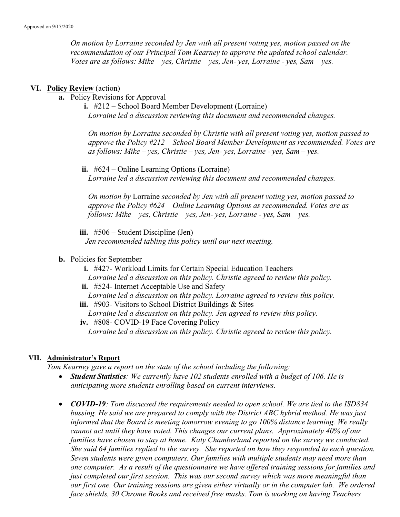On motion by Lorraine seconded by Jen with all present voting yes, motion passed on the recommendation of our Principal Tom Kearney to approve the updated school calendar. Votes are as follows: Mike – yes, Christie – yes, Jen- yes, Lorraine - yes, Sam – yes.

### VI. Policy Review (action)

a. Policy Revisions for Approval

i. #212 – School Board Member Development (Lorraine) Lorraine led a discussion reviewing this document and recommended changes.

On motion by Lorraine seconded by Christie with all present voting yes, motion passed to approve the Policy #212 – School Board Member Development as recommended. Votes are as follows: Mike – yes, Christie – yes, Jen- yes, Lorraine - yes, Sam – yes.

ii. #624 – Online Learning Options (Lorraine) Lorraine led a discussion reviewing this document and recommended changes.

On motion by Lorraine seconded by Jen with all present voting yes, motion passed to approve the Policy #624 – Online Learning Options as recommended. Votes are as follows: Mike – yes, Christie – yes, Jen- yes, Lorraine - yes, Sam – yes.

iii.  $#506 -$  Student Discipline (Jen)

Jen recommended tabling this policy until our next meeting.

#### b. Policies for September

- i. #427- Workload Limits for Certain Special Education Teachers Lorraine led a discussion on this policy. Christie agreed to review this policy.
- ii. #524- Internet Acceptable Use and Safety Lorraine led a discussion on this policy. Lorraine agreed to review this policy.
- iii. #903- Visitors to School District Buildings  $&$  Sites Lorraine led a discussion on this policy. Jen agreed to review this policy.

iv. #808- COVID-19 Face Covering Policy Lorraine led a discussion on this policy. Christie agreed to review this policy.

#### VII. Administrator's Report

Tom Kearney gave a report on the state of the school including the following:

- Student Statistics: We currently have 102 students enrolled with a budget of 106. He is anticipating more students enrolling based on current interviews.
- COVID-19: Tom discussed the requirements needed to open school. We are tied to the ISD834 bussing. He said we are prepared to comply with the District ABC hybrid method. He was just informed that the Board is meeting tomorrow evening to go 100% distance learning. We really cannot act until they have voted. This changes our current plans. Approximately 40% of our families have chosen to stay at home. Katy Chamberland reported on the survey we conducted. She said 64 families replied to the survey. She reported on how they responded to each question. Seven students were given computers. Our families with multiple students may need more than one computer. As a result of the questionnaire we have offered training sessions for families and just completed our first session. This was our second survey which was more meaningful than our first one. Our training sessions are given either virtually or in the computer lab. We ordered face shields, 30 Chrome Books and received free masks. Tom is working on having Teachers